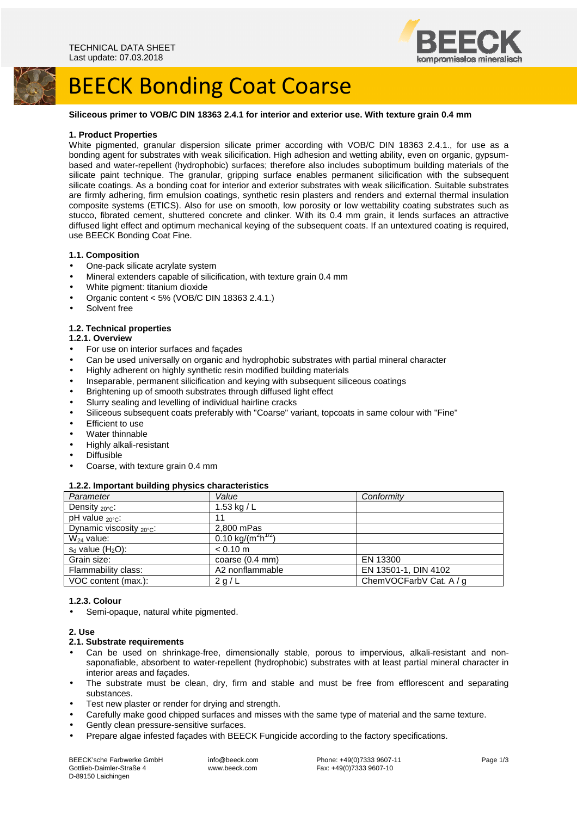

# **BEECK Bonding Coat Coarse**

# **Siliceous primer to VOB/C DIN 18363 2.4.1 for interior and exterior use. With texture grain 0.4 mm**

### **1. Product Properties**

White pigmented, granular dispersion silicate primer according with VOB/C DIN 18363 2.4.1., for use as a bonding agent for substrates with weak silicification. High adhesion and wetting ability, even on organic, gypsumbased and water-repellent (hydrophobic) surfaces; therefore also includes suboptimum building materials of the silicate paint technique. The granular, gripping surface enables permanent silicification with the subsequent silicate coatings. As a bonding coat for interior and exterior substrates with weak silicification. Suitable substrates are firmly adhering, firm emulsion coatings, synthetic resin plasters and renders and external thermal insulation composite systems (ETICS). Also for use on smooth, low porosity or low wettability coating substrates such as stucco, fibrated cement, shuttered concrete and clinker. With its 0.4 mm grain, it lends surfaces an attractive diffused light effect and optimum mechanical keying of the subsequent coats. If an untextured coating is required, use BEECK Bonding Coat Fine.

### **1.1. Composition**

- One-pack silicate acrylate system
- Mineral extenders capable of silicification, with texture grain 0.4 mm
- White pigment: titanium dioxide
- Organic content <  $5\%$  (VOB/C DIN 18363 2.4.1.)
- Solvent free

# **1.2. Technical properties**

# **1.2.1. Overview**

- For use on interior surfaces and façades
- Can be used universally on organic and hydrophobic substrates with partial mineral character
- Highly adherent on highly synthetic resin modified building materials
- Inseparable, permanent silicification and keying with subsequent siliceous coatings
- Brightening up of smooth substrates through diffused light effect
- Slurry sealing and levelling of individual hairline cracks
- Siliceous subsequent coats preferably with "Coarse" variant, topcoats in same colour with "Fine"
- Efficient to use
- Water thinnable
- Highly alkali-resistant
- Diffusible
- Coarse, with texture grain 0.4 mm

#### **1.2.2. Important building physics characteristics**

| Parameter                            | Value                                      | Conformity              |
|--------------------------------------|--------------------------------------------|-------------------------|
| Density $_{20^{\circ}C}$ :           | 1.53 kg / $L$                              |                         |
| pH value $_{20^{\circ}C}$ :          | 11                                         |                         |
| Dynamic viscosity $_{20^{\circ}C}$ : | 2.800 mPas                                 |                         |
| $W_{24}$ value:                      | 0.10 kg/(m <sup>2</sup> h <sup>1/2</sup> ) |                         |
| $s_d$ value $(H_2O)$ :               | $< 0.10$ m                                 |                         |
| Grain size:                          | coarse (0.4 mm)                            | EN 13300                |
| Flammability class:                  | A2 nonflammable                            | EN 13501-1, DIN 4102    |
| VOC content (max.):                  | 2 g/L                                      | ChemVOCFarbV Cat. A / g |

# **1.2.3. Colour**

Semi-opaque, natural white pigmented.

# **2. Use**

- **2.1. Substrate requirements**
- Can be used on shrinkage-free, dimensionally stable, porous to impervious, alkali-resistant and nonsaponafiable, absorbent to water-repellent (hydrophobic) substrates with at least partial mineral character in interior areas and façades.
- The substrate must be clean, dry, firm and stable and must be free from efflorescent and separating substances.
- Test new plaster or render for drying and strength.
- Carefully make good chipped surfaces and misses with the same type of material and the same texture.
- Gently clean pressure-sensitive surfaces.
- Prepare algae infested façades with BEECK Fungicide according to the factory specifications.

BEECK'sche Farbwerke GmbH Gottlieb-Daimler-Straße 4 D-89150 Laichingen

 info@beeck.com www.beeck.com

 Phone: +49(0)7333 9607-11 Fax: +49(0)7333 9607-10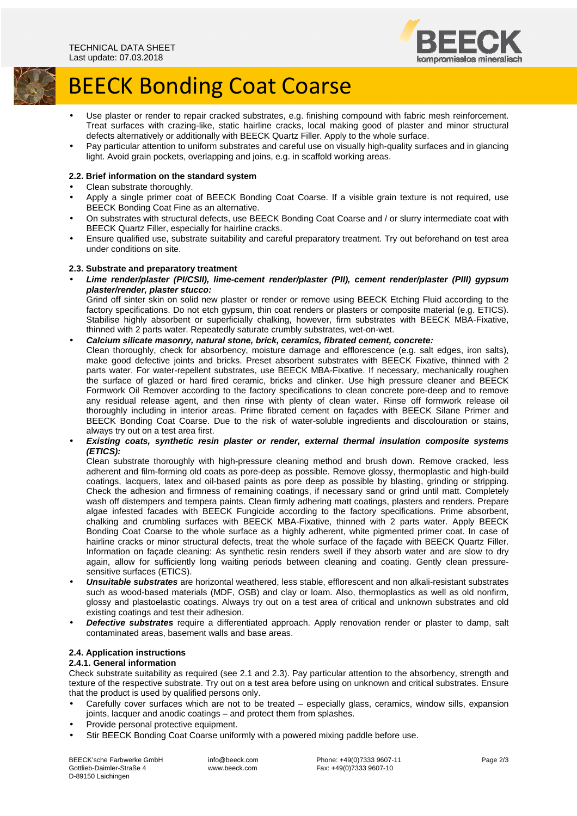

# **BEECK Bonding Coat Coarse**

- Use plaster or render to repair cracked substrates, e.g. finishing compound with fabric mesh reinforcement. Treat surfaces with crazing-like, static hairline cracks, local making good of plaster and minor structural defects alternatively or additionally with BEECK Quartz Filler. Apply to the whole surface.
- Pay particular attention to uniform substrates and careful use on visually high-quality surfaces and in glancing light. Avoid grain pockets, overlapping and joins, e.g. in scaffold working areas.

# **2.2. Brief information on the standard system**

- Clean substrate thoroughly.
- Apply a single primer coat of BEECK Bonding Coat Coarse. If a visible grain texture is not required, use BEECK Bonding Coat Fine as an alternative.
- On substrates with structural defects, use BEECK Bonding Coat Coarse and / or slurry intermediate coat with BEECK Quartz Filler, especially for hairline cracks.
- Ensure qualified use, substrate suitability and careful preparatory treatment. Try out beforehand on test area under conditions on site.

# **2.3. Substrate and preparatory treatment**

• **Lime render/plaster (PI/CSII), lime-cement render/plaster (PII), cement render/plaster (PIII) gypsum plaster/render, plaster stucco:** 

Grind off sinter skin on solid new plaster or render or remove using BEECK Etching Fluid according to the factory specifications. Do not etch gypsum, thin coat renders or plasters or composite material (e.g. ETICS). Stabilise highly absorbent or superficially chalking, however, firm substrates with BEECK MBA-Fixative, thinned with 2 parts water. Repeatedly saturate crumbly substrates, wet-on-wet.

# • **Calcium silicate masonry, natural stone, brick, ceramics, fibrated cement, concrete:**

Clean thoroughly, check for absorbency, moisture damage and efflorescence (e.g. salt edges, iron salts), make good defective joints and bricks. Preset absorbent substrates with BEECK Fixative, thinned with 2 parts water. For water-repellent substrates, use BEECK MBA-Fixative. If necessary, mechanically roughen the surface of glazed or hard fired ceramic, bricks and clinker. Use high pressure cleaner and BEECK Formwork Oil Remover according to the factory specifications to clean concrete pore-deep and to remove any residual release agent, and then rinse with plenty of clean water. Rinse off formwork release oil thoroughly including in interior areas. Prime fibrated cement on façades with BEECK Silane Primer and BEECK Bonding Coat Coarse. Due to the risk of water-soluble ingredients and discolouration or stains, always try out on a test area first.

# • **Existing coats, synthetic resin plaster or render, external thermal insulation composite systems (ETICS):**

Clean substrate thoroughly with high-pressure cleaning method and brush down. Remove cracked, less adherent and film-forming old coats as pore-deep as possible. Remove glossy, thermoplastic and high-build coatings, lacquers, latex and oil-based paints as pore deep as possible by blasting, grinding or stripping. Check the adhesion and firmness of remaining coatings, if necessary sand or grind until matt. Completely wash off distempers and tempera paints. Clean firmly adhering matt coatings, plasters and renders. Prepare algae infested facades with BEECK Fungicide according to the factory specifications. Prime absorbent, chalking and crumbling surfaces with BEECK MBA-Fixative, thinned with 2 parts water. Apply BEECK Bonding Coat Coarse to the whole surface as a highly adherent, white pigmented primer coat. In case of hairline cracks or minor structural defects, treat the whole surface of the façade with BEECK Quartz Filler. Information on façade cleaning: As synthetic resin renders swell if they absorb water and are slow to dry again, allow for sufficiently long waiting periods between cleaning and coating. Gently clean pressuresensitive surfaces (ETICS).

- **Unsuitable substrates** are horizontal weathered, less stable, efflorescent and non alkali-resistant substrates such as wood-based materials (MDF, OSB) and clay or loam. Also, thermoplastics as well as old nonfirm, glossy and plastoelastic coatings. Always try out on a test area of critical and unknown substrates and old existing coatings and test their adhesion.
- **Defective substrates** require a differentiated approach. Apply renovation render or plaster to damp, salt contaminated areas, basement walls and base areas.

# **2.4. Application instructions**

# **2.4.1. General information**

Check substrate suitability as required (see 2.1 and 2.3). Pay particular attention to the absorbency, strength and texture of the respective substrate. Try out on a test area before using on unknown and critical substrates. Ensure that the product is used by qualified persons only.

- Carefully cover surfaces which are not to be treated especially glass, ceramics, window sills, expansion joints, lacquer and anodic coatings – and protect them from splashes.
- Provide personal protective equipment.
- Stir BEECK Bonding Coat Coarse uniformly with a powered mixing paddle before use.

BEECK'sche Farbwerke GmbH Gottlieb-Daimler-Straße 4 D-89150 Laichingen

 info@beeck.com www.beeck.com